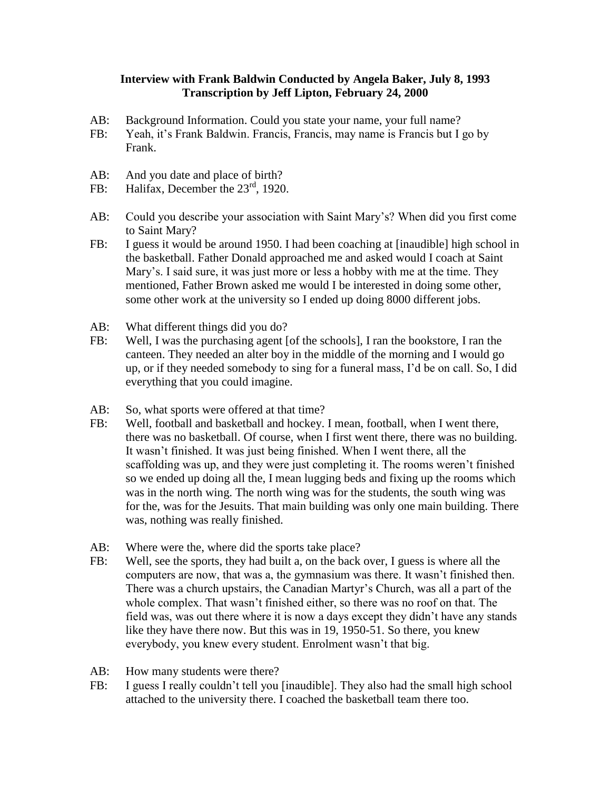## **Interview with Frank Baldwin Conducted by Angela Baker, July 8, 1993 Transcription by Jeff Lipton, February 24, 2000**

- AB: Background Information. Could you state your name, your full name?
- FB: Yeah, it's Frank Baldwin. Francis, Francis, may name is Francis but I go by Frank.
- AB: And you date and place of birth?
- FB: Halifax, December the 23<sup>rd</sup>, 1920.
- AB: Could you describe your association with Saint Mary's? When did you first come to Saint Mary?
- FB: I guess it would be around 1950. I had been coaching at [inaudible] high school in the basketball. Father Donald approached me and asked would I coach at Saint Mary's. I said sure, it was just more or less a hobby with me at the time. They mentioned, Father Brown asked me would I be interested in doing some other, some other work at the university so I ended up doing 8000 different jobs.
- AB: What different things did you do?
- FB: Well, I was the purchasing agent [of the schools], I ran the bookstore, I ran the canteen. They needed an alter boy in the middle of the morning and I would go up, or if they needed somebody to sing for a funeral mass, I'd be on call. So, I did everything that you could imagine.
- AB: So, what sports were offered at that time?
- FB: Well, football and basketball and hockey. I mean, football, when I went there, there was no basketball. Of course, when I first went there, there was no building. It wasn't finished. It was just being finished. When I went there, all the scaffolding was up, and they were just completing it. The rooms weren't finished so we ended up doing all the, I mean lugging beds and fixing up the rooms which was in the north wing. The north wing was for the students, the south wing was for the, was for the Jesuits. That main building was only one main building. There was, nothing was really finished.
- AB: Where were the, where did the sports take place?
- FB: Well, see the sports, they had built a, on the back over, I guess is where all the computers are now, that was a, the gymnasium was there. It wasn't finished then. There was a church upstairs, the Canadian Martyr's Church, was all a part of the whole complex. That wasn't finished either, so there was no roof on that. The field was, was out there where it is now a days except they didn't have any stands like they have there now. But this was in 19, 1950-51. So there, you knew everybody, you knew every student. Enrolment wasn't that big.
- AB: How many students were there?
- FB: I guess I really couldn't tell you [inaudible]. They also had the small high school attached to the university there. I coached the basketball team there too.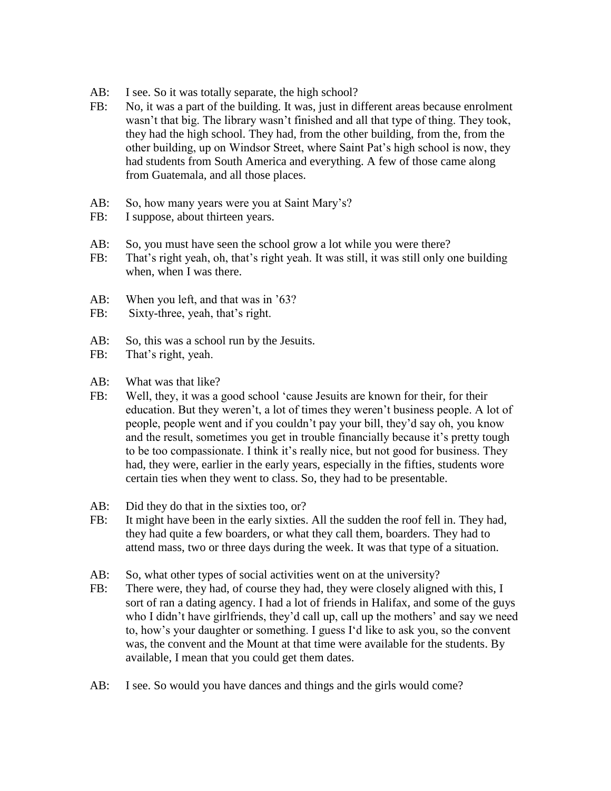- AB: I see. So it was totally separate, the high school?
- FB: No, it was a part of the building. It was, just in different areas because enrolment wasn't that big. The library wasn't finished and all that type of thing. They took, they had the high school. They had, from the other building, from the, from the other building, up on Windsor Street, where Saint Pat's high school is now, they had students from South America and everything. A few of those came along from Guatemala, and all those places.
- AB: So, how many years were you at Saint Mary's?
- FB: I suppose, about thirteen years.
- AB: So, you must have seen the school grow a lot while you were there?
- FB: That's right yeah, oh, that's right yeah. It was still, it was still only one building when, when I was there.
- AB: When you left, and that was in '63?
- FB: Sixty-three, yeah, that's right.
- AB: So, this was a school run by the Jesuits.
- FB: That's right, yeah.
- AB: What was that like?
- FB: Well, they, it was a good school 'cause Jesuits are known for their, for their education. But they weren't, a lot of times they weren't business people. A lot of people, people went and if you couldn't pay your bill, they'd say oh, you know and the result, sometimes you get in trouble financially because it's pretty tough to be too compassionate. I think it's really nice, but not good for business. They had, they were, earlier in the early years, especially in the fifties, students wore certain ties when they went to class. So, they had to be presentable.
- AB: Did they do that in the sixties too, or?
- FB: It might have been in the early sixties. All the sudden the roof fell in. They had, they had quite a few boarders, or what they call them, boarders. They had to attend mass, two or three days during the week. It was that type of a situation.
- AB: So, what other types of social activities went on at the university?
- FB: There were, they had, of course they had, they were closely aligned with this, I sort of ran a dating agency. I had a lot of friends in Halifax, and some of the guys who I didn't have girlfriends, they'd call up, call up the mothers' and say we need to, how's your daughter or something. I guess I'd like to ask you, so the convent was, the convent and the Mount at that time were available for the students. By available, I mean that you could get them dates.
- AB: I see. So would you have dances and things and the girls would come?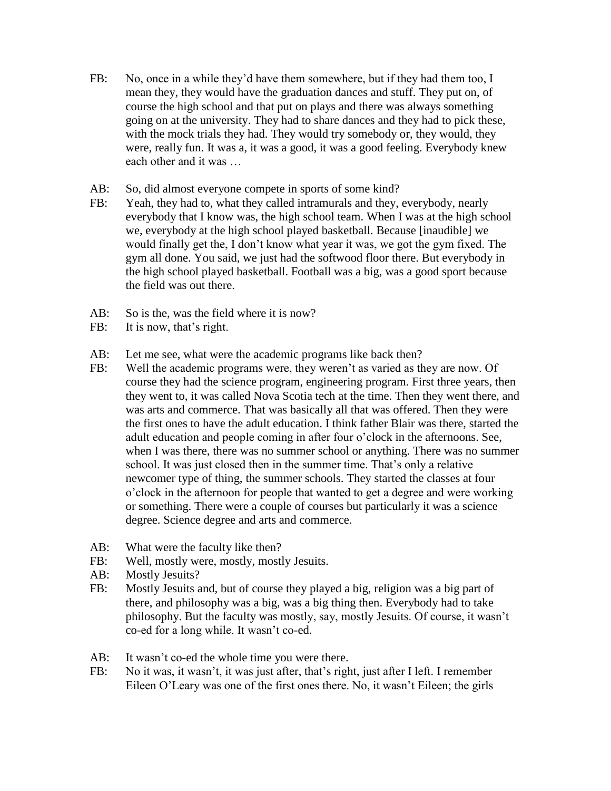- FB: No, once in a while they'd have them somewhere, but if they had them too, I mean they, they would have the graduation dances and stuff. They put on, of course the high school and that put on plays and there was always something going on at the university. They had to share dances and they had to pick these, with the mock trials they had. They would try somebody or, they would, they were, really fun. It was a, it was a good, it was a good feeling. Everybody knew each other and it was …
- AB: So, did almost everyone compete in sports of some kind?
- FB: Yeah, they had to, what they called intramurals and they, everybody, nearly everybody that I know was, the high school team. When I was at the high school we, everybody at the high school played basketball. Because [inaudible] we would finally get the, I don't know what year it was, we got the gym fixed. The gym all done. You said, we just had the softwood floor there. But everybody in the high school played basketball. Football was a big, was a good sport because the field was out there.
- AB: So is the, was the field where it is now?
- FB: It is now, that's right.
- AB: Let me see, what were the academic programs like back then?
- FB: Well the academic programs were, they weren't as varied as they are now. Of course they had the science program, engineering program. First three years, then they went to, it was called Nova Scotia tech at the time. Then they went there, and was arts and commerce. That was basically all that was offered. Then they were the first ones to have the adult education. I think father Blair was there, started the adult education and people coming in after four o'clock in the afternoons. See, when I was there, there was no summer school or anything. There was no summer school. It was just closed then in the summer time. That's only a relative newcomer type of thing, the summer schools. They started the classes at four o'clock in the afternoon for people that wanted to get a degree and were working or something. There were a couple of courses but particularly it was a science degree. Science degree and arts and commerce.
- AB: What were the faculty like then?
- FB: Well, mostly were, mostly, mostly Jesuits.
- AB: Mostly Jesuits?
- FB: Mostly Jesuits and, but of course they played a big, religion was a big part of there, and philosophy was a big, was a big thing then. Everybody had to take philosophy. But the faculty was mostly, say, mostly Jesuits. Of course, it wasn't co-ed for a long while. It wasn't co-ed.
- AB: It wasn't co-ed the whole time you were there.
- FB: No it was, it wasn't, it was just after, that's right, just after I left. I remember Eileen O'Leary was one of the first ones there. No, it wasn't Eileen; the girls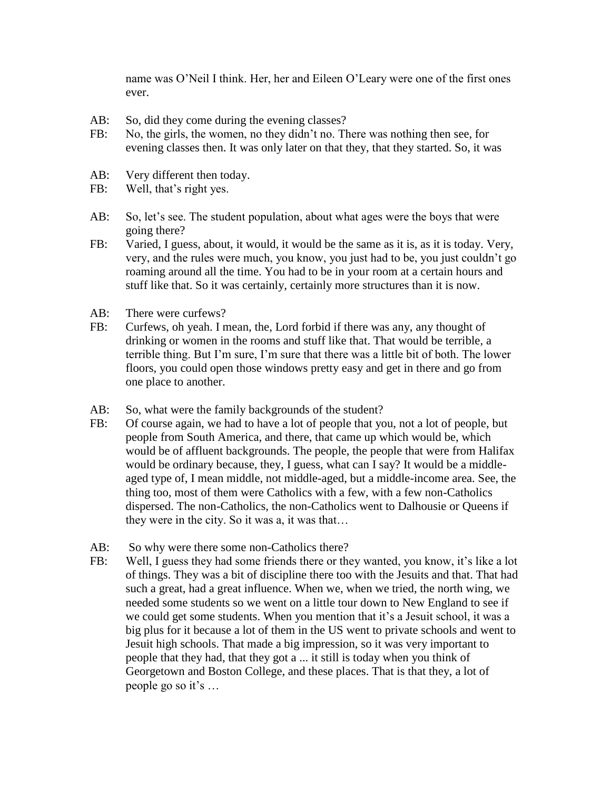name was O'Neil I think. Her, her and Eileen O'Leary were one of the first ones ever.

- AB: So, did they come during the evening classes?
- FB: No, the girls, the women, no they didn't no. There was nothing then see, for evening classes then. It was only later on that they, that they started. So, it was
- AB: Very different then today.
- FB: Well, that's right yes.
- AB: So, let's see. The student population, about what ages were the boys that were going there?
- FB: Varied, I guess, about, it would, it would be the same as it is, as it is today. Very, very, and the rules were much, you know, you just had to be, you just couldn't go roaming around all the time. You had to be in your room at a certain hours and stuff like that. So it was certainly, certainly more structures than it is now.
- AB: There were curfews?
- FB: Curfews, oh yeah. I mean, the, Lord forbid if there was any, any thought of drinking or women in the rooms and stuff like that. That would be terrible, a terrible thing. But I'm sure, I'm sure that there was a little bit of both. The lower floors, you could open those windows pretty easy and get in there and go from one place to another.
- AB: So, what were the family backgrounds of the student?
- FB: Of course again, we had to have a lot of people that you, not a lot of people, but people from South America, and there, that came up which would be, which would be of affluent backgrounds. The people, the people that were from Halifax would be ordinary because, they, I guess, what can I say? It would be a middleaged type of, I mean middle, not middle-aged, but a middle-income area. See, the thing too, most of them were Catholics with a few, with a few non-Catholics dispersed. The non-Catholics, the non-Catholics went to Dalhousie or Queens if they were in the city. So it was a, it was that…
- AB: So why were there some non-Catholics there?
- FB: Well, I guess they had some friends there or they wanted, you know, it's like a lot of things. They was a bit of discipline there too with the Jesuits and that. That had such a great, had a great influence. When we, when we tried, the north wing, we needed some students so we went on a little tour down to New England to see if we could get some students. When you mention that it's a Jesuit school, it was a big plus for it because a lot of them in the US went to private schools and went to Jesuit high schools. That made a big impression, so it was very important to people that they had, that they got a ... it still is today when you think of Georgetown and Boston College, and these places. That is that they, a lot of people go so it's …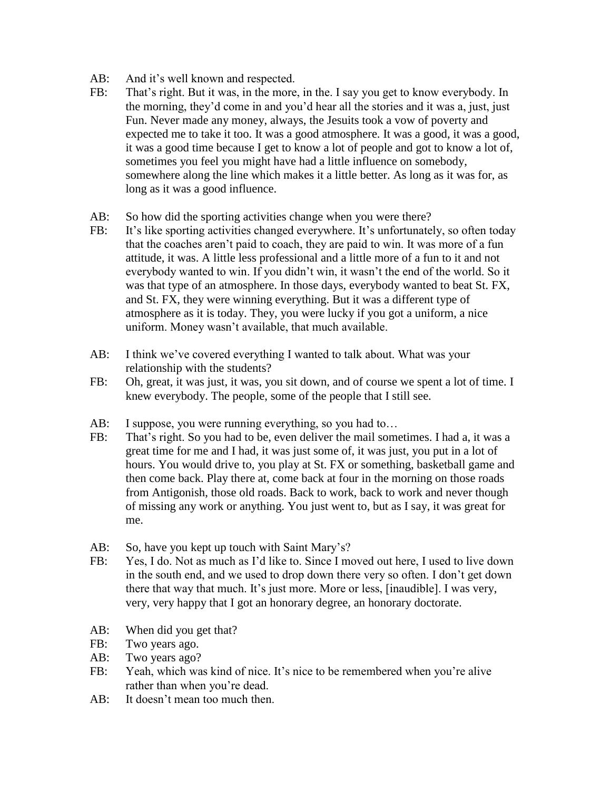- AB: And it's well known and respected.
- FB: That's right. But it was, in the more, in the. I say you get to know everybody. In the morning, they'd come in and you'd hear all the stories and it was a, just, just Fun. Never made any money, always, the Jesuits took a vow of poverty and expected me to take it too. It was a good atmosphere. It was a good, it was a good, it was a good time because I get to know a lot of people and got to know a lot of, sometimes you feel you might have had a little influence on somebody, somewhere along the line which makes it a little better. As long as it was for, as long as it was a good influence.
- AB: So how did the sporting activities change when you were there?
- FB: It's like sporting activities changed everywhere. It's unfortunately, so often today that the coaches aren't paid to coach, they are paid to win. It was more of a fun attitude, it was. A little less professional and a little more of a fun to it and not everybody wanted to win. If you didn't win, it wasn't the end of the world. So it was that type of an atmosphere. In those days, everybody wanted to beat St. FX, and St. FX, they were winning everything. But it was a different type of atmosphere as it is today. They, you were lucky if you got a uniform, a nice uniform. Money wasn't available, that much available.
- AB: I think we've covered everything I wanted to talk about. What was your relationship with the students?
- FB: Oh, great, it was just, it was, you sit down, and of course we spent a lot of time. I knew everybody. The people, some of the people that I still see.
- AB: I suppose, you were running everything, so you had to...
- FB: That's right. So you had to be, even deliver the mail sometimes. I had a, it was a great time for me and I had, it was just some of, it was just, you put in a lot of hours. You would drive to, you play at St. FX or something, basketball game and then come back. Play there at, come back at four in the morning on those roads from Antigonish, those old roads. Back to work, back to work and never though of missing any work or anything. You just went to, but as I say, it was great for me.
- AB: So, have you kept up touch with Saint Mary's?
- FB: Yes, I do. Not as much as I'd like to. Since I moved out here, I used to live down in the south end, and we used to drop down there very so often. I don't get down there that way that much. It's just more. More or less, [inaudible]. I was very, very, very happy that I got an honorary degree, an honorary doctorate.
- AB: When did you get that?
- FB: Two years ago.
- AB: Two years ago?
- FB: Yeah, which was kind of nice. It's nice to be remembered when you're alive rather than when you're dead.
- AB: It doesn't mean too much then.